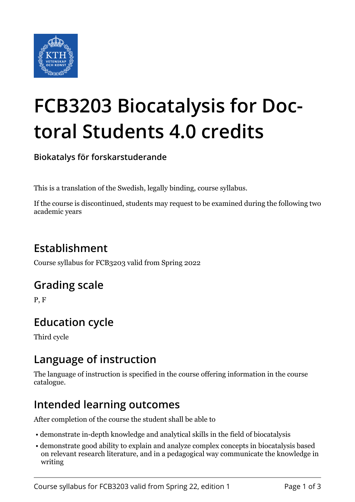

# **FCB3203 Biocatalysis for Doctoral Students 4.0 credits**

**Biokatalys för forskarstuderande**

This is a translation of the Swedish, legally binding, course syllabus.

If the course is discontinued, students may request to be examined during the following two academic years

## **Establishment**

Course syllabus for FCB3203 valid from Spring 2022

#### **Grading scale**

P, F

## **Education cycle**

Third cycle

#### **Language of instruction**

The language of instruction is specified in the course offering information in the course catalogue.

## **Intended learning outcomes**

After completion of the course the student shall be able to

- demonstrate in-depth knowledge and analytical skills in the field of biocatalysis
- demonstrate good ability to explain and analyze complex concepts in biocatalysis based on relevant research literature, and in a pedagogical way communicate the knowledge in writing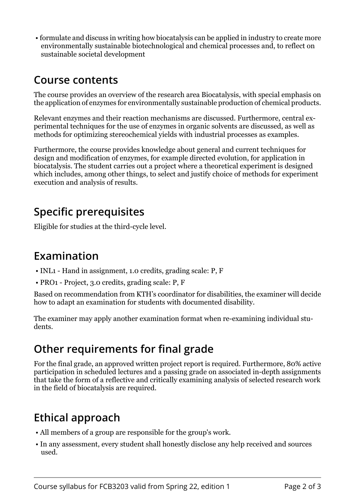• formulate and discuss in writing how biocatalysis can be applied in industry to create more environmentally sustainable biotechnological and chemical processes and, to reflect on sustainable societal development

#### **Course contents**

The course provides an overview of the research area Biocatalysis, with special emphasis on the application of enzymes for environmentally sustainable production of chemical products.

Relevant enzymes and their reaction mechanisms are discussed. Furthermore, central experimental techniques for the use of enzymes in organic solvents are discussed, as well as methods for optimizing stereochemical yields with industrial processes as examples.

Furthermore, the course provides knowledge about general and current techniques for design and modification of enzymes, for example directed evolution, for application in biocatalysis. The student carries out a project where a theoretical experiment is designed which includes, among other things, to select and justify choice of methods for experiment execution and analysis of results.

## **Specific prerequisites**

Eligible for studies at the third-cycle level.

#### **Examination**

- INL1 Hand in assignment, 1.0 credits, grading scale: P, F
- PRO1 Project, 3.0 credits, grading scale: P, F

Based on recommendation from KTH's coordinator for disabilities, the examiner will decide how to adapt an examination for students with documented disability.

The examiner may apply another examination format when re-examining individual students.

## **Other requirements for final grade**

For the final grade, an approved written project report is required. Furthermore, 80% active participation in scheduled lectures and a passing grade on associated in-depth assignments that take the form of a reflective and critically examining analysis of selected research work in the field of biocatalysis are required.

# **Ethical approach**

- All members of a group are responsible for the group's work.
- In any assessment, every student shall honestly disclose any help received and sources used.